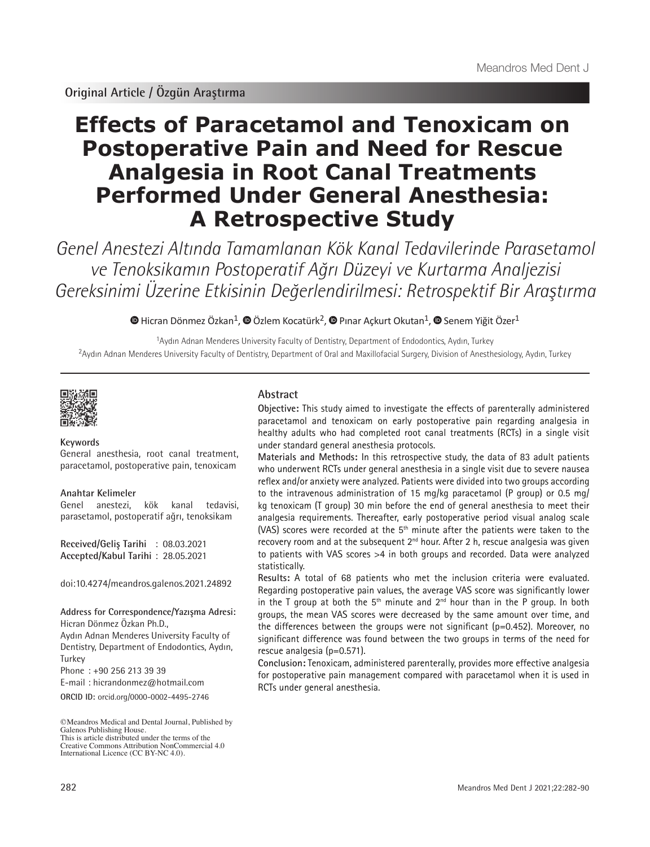# **Effects of Paracetamol and Tenoxicam on Postoperative Pain and Need for Rescue Analgesia in Root Canal Treatments Performed Under General Anesthesia: A Retrospective Study**

Genel Anestezi Altında Tamamlanan Kök Kanal Tedavilerinde Parasetamol ve Tenoksikamın Postoperatif Ağrı Düzeyi ve Kurtarma Analjezisi Gereksinimi Üzerine Etkisinin Değerlendirilmesi: Retrospektif Bir Araştırma

 $\bullet$ Hicran Dönmez Özkan<sup>1</sup>,  $\bullet$  Özlem Kocatürk<sup>2</sup>,  $\bullet$  Pinar Ackurt Okutan<sup>1</sup>,  $\bullet$  Senem Yiğit Özer<sup>1</sup>

<sup>1</sup>Aydın Adnan Menderes University Faculty of Dentistry, Department of Endodontics, Aydın, Turkey <sup>2</sup>Aydın Adnan Menderes University Faculty of Dentistry, Department of Oral and Maxillofacial Surgery, Division of Anesthesiology, Aydın, Turkey



## **Keywords**

General anesthesia, root canal treatment, paracetamol, postoperative pain, tenoxicam

#### **Anahtar Kelimeler**

Genel anestezi, kök kanal tedavisi, parasetamol, postoperatif ağrı, tenoksikam

**Received/Geliş Tarihi** : 08.03.2021 **Accepted/Kabul Tarihi** : 28.05.2021

doi:10.4274/meandros.galenos.2021.24892

**Address for Correspondence/Yazışma Adresi:** Hicran Dönmez Özkan Ph.D.,

Aydın Adnan Menderes University Faculty of Dentistry, Department of Endodontics, Aydın, **Turkey** 

Phone : +90 256 213 39 39

E-mail : hicrandonmez@hotmail.com

**ORCID ID:** orcid.org/0000-0002-4495-2746

Creative Commons Attribution NonCommercial 4.0 International Licence (CC BY-NC 4.0).

# **Abstract**

**Objective:** This study aimed to investigate the effects of parenterally administered paracetamol and tenoxicam on early postoperative pain regarding analgesia in healthy adults who had completed root canal treatments (RCTs) in a single visit under standard general anesthesia protocols.

**Materials and Methods:** In this retrospective study, the data of 83 adult patients who underwent RCTs under general anesthesia in a single visit due to severe nausea reflex and/or anxiety were analyzed. Patients were divided into two groups according to the intravenous administration of 15 mg/kg paracetamol (P group) or 0.5 mg/ kg tenoxicam (T group) 30 min before the end of general anesthesia to meet their analgesia requirements. Thereafter, early postoperative period visual analog scale (VAS) scores were recorded at the  $5<sup>th</sup>$  minute after the patients were taken to the recovery room and at the subsequent  $2<sup>nd</sup>$  hour. After 2 h, rescue analgesia was given to patients with VAS scores >4 in both groups and recorded. Data were analyzed statistically.

**Results:** A total of 68 patients who met the inclusion criteria were evaluated. Regarding postoperative pain values, the average VAS score was significantly lower in the T group at both the  $5<sup>th</sup>$  minute and  $2<sup>nd</sup>$  hour than in the P group. In both groups, the mean VAS scores were decreased by the same amount over time, and the differences between the groups were not significant (p=0.452). Moreover, no significant difference was found between the two groups in terms of the need for rescue analgesia (p=0.571).

**Conclusion:** Tenoxicam, administered parenterally, provides more effective analgesia for postoperative pain management compared with paracetamol when it is used in RCTs under general anesthesia.

<sup>©</sup>Meandros Medical and Dental Journal, Published by Galenos Publishing House. This is article distributed under the terms of the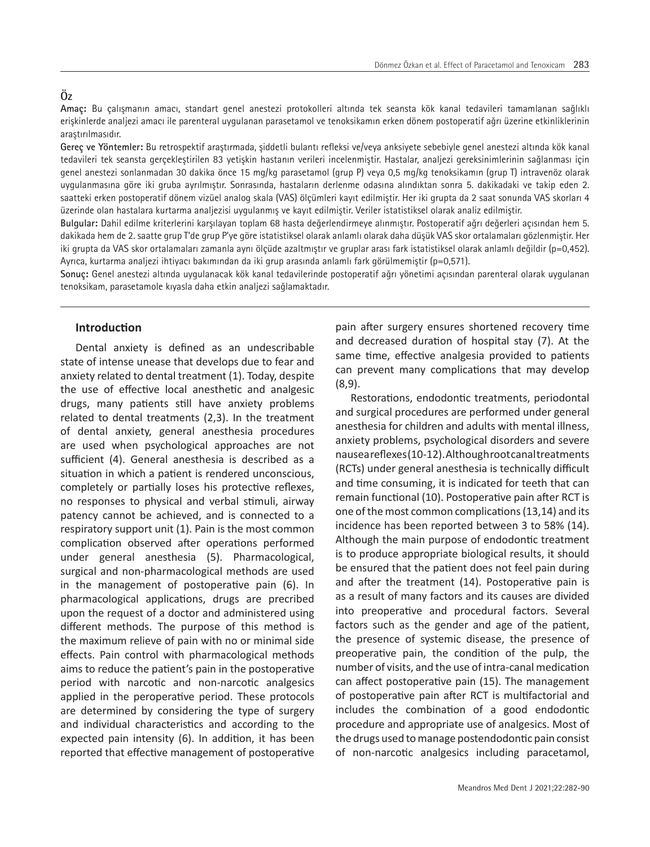# **Öz**

**Amaç:** Bu çalışmanın amacı, standart genel anestezi protokolleri altında tek seansta kök kanal tedavileri tamamlanan sağlıklı erişkinlerde analjezi amacı ile parenteral uygulanan parasetamol ve tenoksikamın erken dönem postoperatif ağrı üzerine etkinliklerinin araştırılmasıdır.

**Gereç ve Yöntemler:** Bu retrospektif araştırmada, şiddetli bulantı refleksi ve/veya anksiyete sebebiyle genel anestezi altında kök kanal tedavileri tek seansta gerçekleştirilen 83 yetişkin hastanın verileri incelenmiştir. Hastalar, analjezi gereksinimlerinin sağlanması için genel anestezi sonlanmadan 30 dakika önce 15 mg/kg parasetamol (grup P) veya 0,5 mg/kg tenoksikamın (grup T) intravenöz olarak uygulanmasına göre iki gruba ayrılmıştır. Sonrasında, hastaların derlenme odasına alındıktan sonra 5. dakikadaki ve takip eden 2. saatteki erken postoperatif dönem vizüel analog skala (VAS) ölçümleri kayıt edilmiştir. Her iki grupta da 2 saat sonunda VAS skorları 4 üzerinde olan hastalara kurtarma analjezisi uygulanmış ve kayıt edilmiştir. Veriler istatistiksel olarak analiz edilmiştir.

**Bulgular:** Dahil edilme kriterlerini karşılayan toplam 68 hasta değerlendirmeye alınmıştır. Postoperatif ağrı değerleri açısından hem 5. dakikada hem de 2. saatte grup T'de grup P'ye göre istatistiksel olarak anlamlı olarak daha düşük VAS skor ortalamaları gözlenmiştir. Her iki grupta da VAS skor ortalamaları zamanla aynı ölçüde azaltmıştır ve gruplar arası fark istatistiksel olarak anlamlı değildir (p=0,452). Ayrıca, kurtarma analjezi ihtiyacı bakımından da iki grup arasında anlamlı fark görülmemiştir (p=0,571).

**Sonuç:** Genel anestezi altında uygulanacak kök kanal tedavilerinde postoperatif ağrı yönetimi açısından parenteral olarak uygulanan tenoksikam, parasetamole kıyasla daha etkin analjezi sağlamaktadır.

## **Introduction**

Dental anxiety is defined as an undescribable state of intense unease that develops due to fear and anxiety related to dental treatment (1). Today, despite the use of effective local anesthetic and analgesic drugs, many patients still have anxiety problems related to dental treatments (2,3). In the treatment of dental anxiety, general anesthesia procedures are used when psychological approaches are not sufficient (4). General anesthesia is described as a situation in which a patient is rendered unconscious, completely or partially loses his protective reflexes, no responses to physical and verbal stimuli, airway patency cannot be achieved, and is connected to a respiratory support unit (1). Pain is the most common complication observed after operations performed under general anesthesia (5). Pharmacological, surgical and non-pharmacological methods are used in the management of postoperative pain (6). In pharmacological applications, drugs are precribed upon the request of a doctor and administered using different methods. The purpose of this method is the maximum relieve of pain with no or minimal side effects. Pain control with pharmacological methods aims to reduce the patient's pain in the postoperative period with narcotic and non-narcotic analgesics applied in the peroperative period. These protocols are determined by considering the type of surgery and individual characteristics and according to the expected pain intensity (6). In addition, it has been reported that effective management of postoperative

pain after surgery ensures shortened recovery time and decreased duration of hospital stay (7). At the same time, effective analgesia provided to patients can prevent many complications that may develop (8,9).

Restorations, endodontic treatments, periodontal and surgical procedures are performed under general anesthesia for children and adults with mental illness, anxiety problems, psychological disorders and severe nausea reflexes (10-12). Although root canal treatments (RCTs) under general anesthesia is technically difficult and time consuming, it is indicated for teeth that can remain functional (10). Postoperative pain after RCT is one of the most common complications (13,14) and its incidence has been reported between 3 to 58% (14). Although the main purpose of endodontic treatment is to produce appropriate biological results, it should be ensured that the patient does not feel pain during and after the treatment (14). Postoperative pain is as a result of many factors and its causes are divided into preoperative and procedural factors. Several factors such as the gender and age of the patient, the presence of systemic disease, the presence of preoperative pain, the condition of the pulp, the number of visits, and the use of intra-canal medication can affect postoperative pain (15). The management of postoperative pain after RCT is multifactorial and includes the combination of a good endodontic procedure and appropriate use of analgesics. Most of the drugs used to manage postendodontic pain consist of non-narcotic analgesics including paracetamol,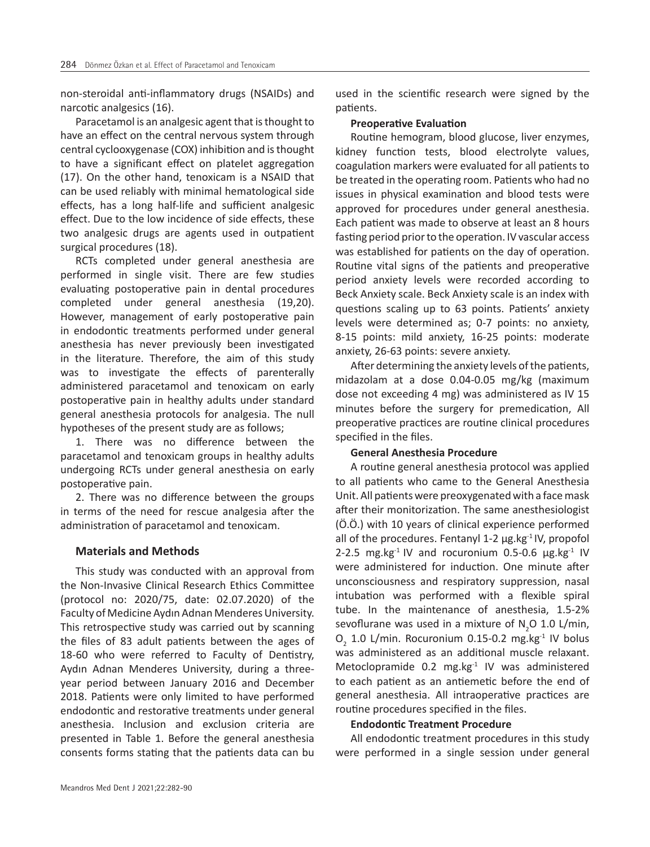non-steroidal anti-inflammatory drugs (NSAIDs) and narcotic analgesics (16).

Paracetamol is an analgesic agent that is thought to have an effect on the central nervous system through central cyclooxygenase (COX) inhibition and is thought to have a significant effect on platelet aggregation (17). On the other hand, tenoxicam is a NSAID that can be used reliably with minimal hematological side effects, has a long half-life and sufficient analgesic effect. Due to the low incidence of side effects, these two analgesic drugs are agents used in outpatient surgical procedures (18).

RCTs completed under general anesthesia are performed in single visit. There are few studies evaluating postoperative pain in dental procedures completed under general anesthesia (19,20). However, management of early postoperative pain in endodontic treatments performed under general anesthesia has never previously been investigated in the literature. Therefore, the aim of this study was to investigate the effects of parenterally administered paracetamol and tenoxicam on early postoperative pain in healthy adults under standard general anesthesia protocols for analgesia. The null hypotheses of the present study are as follows;

1. There was no difference between the paracetamol and tenoxicam groups in healthy adults undergoing RCTs under general anesthesia on early postoperative pain.

2. There was no difference between the groups in terms of the need for rescue analgesia after the administration of paracetamol and tenoxicam.

## **Materials and Methods**

This study was conducted with an approval from the Non-Invasive Clinical Research Ethics Committee (protocol no: 2020/75, date: 02.07.2020) of the Faculty of Medicine Aydın Adnan Menderes University. This retrospective study was carried out by scanning the files of 83 adult patients between the ages of 18-60 who were referred to Faculty of Dentistry, Aydın Adnan Menderes University, during a threeyear period between January 2016 and December 2018. Patients were only limited to have performed endodontic and restorative treatments under general anesthesia. Inclusion and exclusion criteria are presented in Table 1. Before the general anesthesia consents forms stating that the patients data can bu used in the scientific research were signed by the patients.

#### **Preoperative Evaluation**

Routine hemogram, blood glucose, liver enzymes, kidney function tests, blood electrolyte values, coagulation markers were evaluated for all patients to be treated in the operating room. Patients who had no issues in physical examination and blood tests were approved for procedures under general anesthesia. Each patient was made to observe at least an 8 hours fasting period prior to the operation. IV vascular access was established for patients on the day of operation. Routine vital signs of the patients and preoperative period anxiety levels were recorded according to Beck Anxiety scale. Beck Anxiety scale is an index with questions scaling up to 63 points. Patients' anxiety levels were determined as; 0-7 points: no anxiety, 8-15 points: mild anxiety, 16-25 points: moderate anxiety, 26-63 points: severe anxiety.

After determining the anxiety levels of the patients, midazolam at a dose 0.04-0.05 mg/kg (maximum dose not exceeding 4 mg) was administered as IV 15 minutes before the surgery for premedication, All preoperative practices are routine clinical procedures specified in the files.

#### **General Anesthesia Procedure**

A routine general anesthesia protocol was applied to all patients who came to the General Anesthesia Unit. All patients were preoxygenated with a face mask after their monitorization. The same anesthesiologist (Ö.Ö.) with 10 years of clinical experience performed all of the procedures. Fentanyl  $1-2 \mu g$ .kg $^{-1}$  IV, propofol 2-2.5 mg.kg $^{-1}$  IV and rocuronium 0.5-0.6  $\mu$ g.kg $^{-1}$  IV were administered for induction. One minute after unconsciousness and respiratory suppression, nasal intubation was performed with a flexible spiral tube. In the maintenance of anesthesia, 1.5-2% sevoflurane was used in a mixture of  $N_2$ O 1.0 L/min,  $O_2$  1.0 L/min. Rocuronium 0.15-0.2 mg.kg<sup>-1</sup> IV bolus was administered as an additional muscle relaxant. Metoclopramide 0.2 mg.kg-1 IV was administered to each patient as an antiemetic before the end of general anesthesia. All intraoperative practices are routine procedures specified in the files.

#### **Endodontic Treatment Procedure**

All endodontic treatment procedures in this study were performed in a single session under general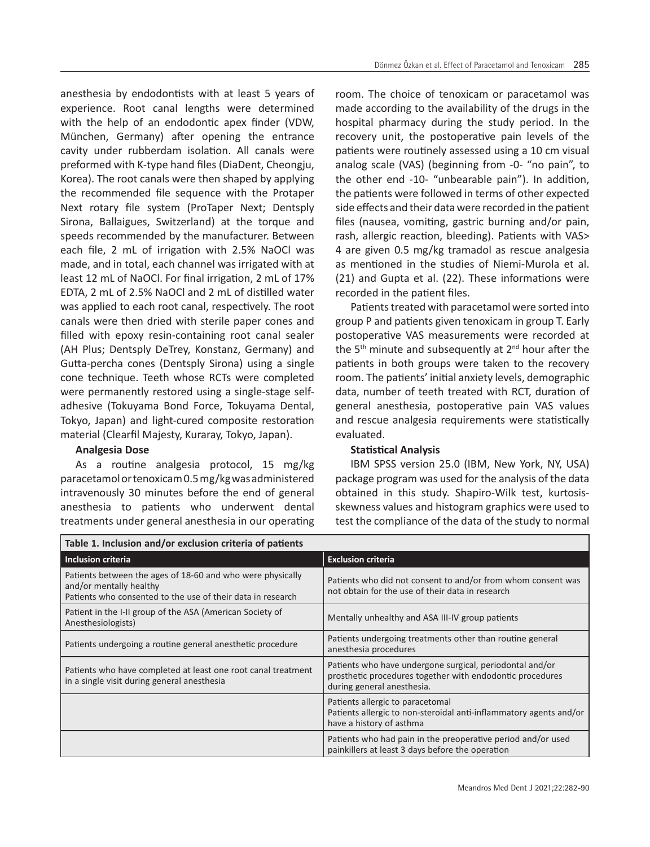anesthesia by endodontists with at least 5 years of experience. Root canal lengths were determined with the help of an endodontic apex finder (VDW, München, Germany) after opening the entrance cavity under rubberdam isolation. All canals were preformed with K-type hand files (DiaDent, Cheongju, Korea). The root canals were then shaped by applying the recommended file sequence with the Protaper Next rotary file system (ProTaper Next; Dentsply Sirona, Ballaigues, Switzerland) at the torque and speeds recommended by the manufacturer. Between each file, 2 mL of irrigation with 2.5% NaOCl was made, and in total, each channel was irrigated with at least 12 mL of NaOCl. For final irrigation, 2 mL of 17% EDTA, 2 mL of 2.5% NaOCl and 2 mL of distilled water was applied to each root canal, respectively. The root canals were then dried with sterile paper cones and filled with epoxy resin-containing root canal sealer (AH Plus; Dentsply DeTrey, Konstanz, Germany) and Gutta-percha cones (Dentsply Sirona) using a single cone technique. Teeth whose RCTs were completed were permanently restored using a single-stage selfadhesive (Tokuyama Bond Force, Tokuyama Dental, Tokyo, Japan) and light-cured composite restoration material (Clearfil Majesty, Kuraray, Tokyo, Japan).

#### **Analgesia Dose**

As a routine analgesia protocol, 15 mg/kg paracetamol or tenoxicam 0.5 mg/kg was administered intravenously 30 minutes before the end of general anesthesia to patients who underwent dental treatments under general anesthesia in our operating

room. The choice of tenoxicam or paracetamol was made according to the availability of the drugs in the hospital pharmacy during the study period. In the recovery unit, the postoperative pain levels of the patients were routinely assessed using a 10 cm visual analog scale (VAS) (beginning from -0- "no pain", to the other end -10- "unbearable pain"). In addition, the patients were followed in terms of other expected side effects and their data were recorded in the patient files (nausea, vomiting, gastric burning and/or pain, rash, allergic reaction, bleeding). Patients with VAS> 4 are given 0.5 mg/kg tramadol as rescue analgesia as mentioned in the studies of Niemi-Murola et al. (21) and Gupta et al. (22). These informations were recorded in the patient files.

Patients treated with paracetamol were sorted into group P and patients given tenoxicam in group T. Early postoperative VAS measurements were recorded at the  $5<sup>th</sup>$  minute and subsequently at  $2<sup>nd</sup>$  hour after the patients in both groups were taken to the recovery room. The patients' initial anxiety levels, demographic data, number of teeth treated with RCT, duration of general anesthesia, postoperative pain VAS values and rescue analgesia requirements were statistically evaluated.

#### **Statistical Analysis**

IBM SPSS version 25.0 (IBM, New York, NY, USA) package program was used for the analysis of the data obtained in this study. Shapiro-Wilk test, kurtosisskewness values and histogram graphics were used to test the compliance of the data of the study to normal

| Table 1. Inclusion and/or exclusion criteria of patients                                                                                             |                                                                                                                                                     |  |  |  |
|------------------------------------------------------------------------------------------------------------------------------------------------------|-----------------------------------------------------------------------------------------------------------------------------------------------------|--|--|--|
| Inclusion criteria                                                                                                                                   | <b>Exclusion criteria</b>                                                                                                                           |  |  |  |
| Patients between the ages of 18-60 and who were physically<br>and/or mentally healthy<br>Patients who consented to the use of their data in research | Patients who did not consent to and/or from whom consent was<br>not obtain for the use of their data in research                                    |  |  |  |
| Patient in the I-II group of the ASA (American Society of<br>Anesthesiologists)                                                                      | Mentally unhealthy and ASA III-IV group patients                                                                                                    |  |  |  |
| Patients undergoing a routine general anesthetic procedure                                                                                           | Patients undergoing treatments other than routine general<br>anesthesia procedures                                                                  |  |  |  |
| Patients who have completed at least one root canal treatment<br>in a single visit during general anesthesia                                         | Patients who have undergone surgical, periodontal and/or<br>prosthetic procedures together with endodontic procedures<br>during general anesthesia. |  |  |  |
|                                                                                                                                                      | Patients allergic to paracetomal<br>Patients allergic to non-steroidal anti-inflammatory agents and/or<br>have a history of asthma                  |  |  |  |
|                                                                                                                                                      | Patients who had pain in the preoperative period and/or used<br>painkillers at least 3 days before the operation                                    |  |  |  |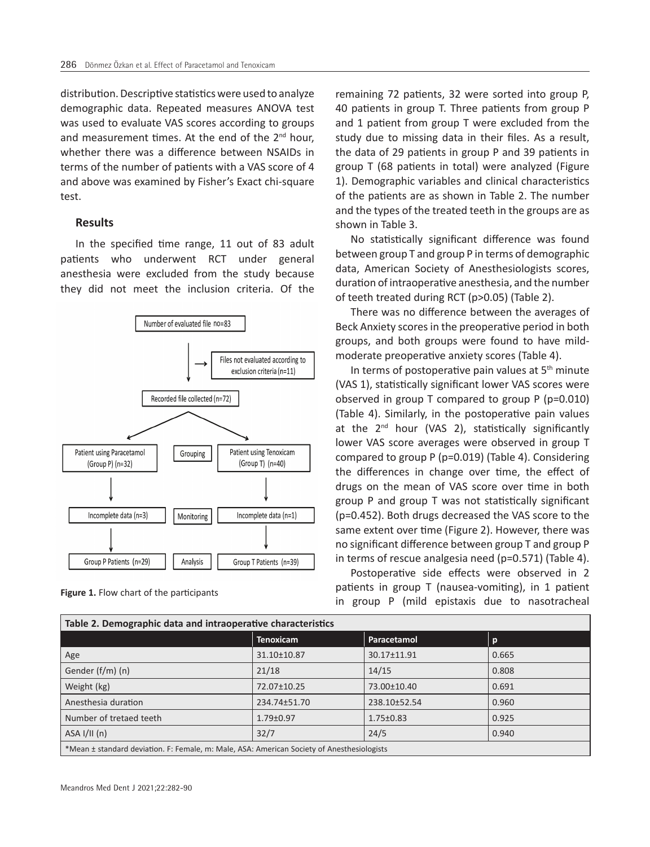distribution. Descriptive statistics were used to analyze demographic data. Repeated measures ANOVA test was used to evaluate VAS scores according to groups and measurement times. At the end of the  $2<sup>nd</sup>$  hour, whether there was a difference between NSAIDs in terms of the number of patients with a VAS score of 4 and above was examined by Fisher's Exact chi-square test.

#### **Results**

In the specified time range, 11 out of 83 adult patients who underwent RCT under general anesthesia were excluded from the study because they did not meet the inclusion criteria. Of the



**Figure 1.** Flow chart of the participants

remaining 72 patients, 32 were sorted into group P, 40 patients in group T. Three patients from group P and 1 patient from group T were excluded from the study due to missing data in their files. As a result, the data of 29 patients in group P and 39 patients in group T (68 patients in total) were analyzed (Figure 1). Demographic variables and clinical characteristics of the patients are as shown in Table 2. The number and the types of the treated teeth in the groups are as shown in Table 3.

No statistically significant difference was found between group T and group P in terms of demographic data, American Society of Anesthesiologists scores, duration of intraoperative anesthesia, and the number of teeth treated during RCT (p>0.05) (Table 2).

There was no difference between the averages of Beck Anxiety scores in the preoperative period in both groups, and both groups were found to have mildmoderate preoperative anxiety scores (Table 4).

In terms of postoperative pain values at  $5<sup>th</sup>$  minute (VAS 1), statistically significant lower VAS scores were observed in group T compared to group P (p=0.010) (Table 4). Similarly, in the postoperative pain values at the 2<sup>nd</sup> hour (VAS 2), statistically significantly lower VAS score averages were observed in group T compared to group P (p=0.019) (Table 4). Considering the differences in change over time, the effect of drugs on the mean of VAS score over time in both group P and group T was not statistically significant (p=0.452). Both drugs decreased the VAS score to the same extent over time (Figure 2). However, there was no significant difference between group T and group P in terms of rescue analgesia need (p=0.571) (Table 4).

Postoperative side effects were observed in 2 patients in group T (nausea-vomiting), in 1 patient in group P (mild epistaxis due to nasotracheal

| Table 2. Demographic data and intraoperative characteristics                               |                  |                 |       |  |  |  |
|--------------------------------------------------------------------------------------------|------------------|-----------------|-------|--|--|--|
|                                                                                            | <b>Tenoxicam</b> | Paracetamol     | p     |  |  |  |
| Age                                                                                        | 31.10±10.87      | 30.17±11.91     | 0.665 |  |  |  |
| Gender (f/m) (n)                                                                           | 21/18            | 14/15           | 0.808 |  |  |  |
| Weight (kg)                                                                                | 72.07±10.25      | 73.00±10.40     | 0.691 |  |  |  |
| Anesthesia duration                                                                        | 234.74±51.70     | 238.10±52.54    | 0.960 |  |  |  |
| Number of tretaed teeth                                                                    | $1.79 \pm 0.97$  | $1.75 \pm 0.83$ | 0.925 |  |  |  |
| ASA I/II(n)                                                                                | 32/7             | 24/5            | 0.940 |  |  |  |
| *Mean ± standard deviation. F: Female, m: Male, ASA: American Society of Anesthesiologists |                  |                 |       |  |  |  |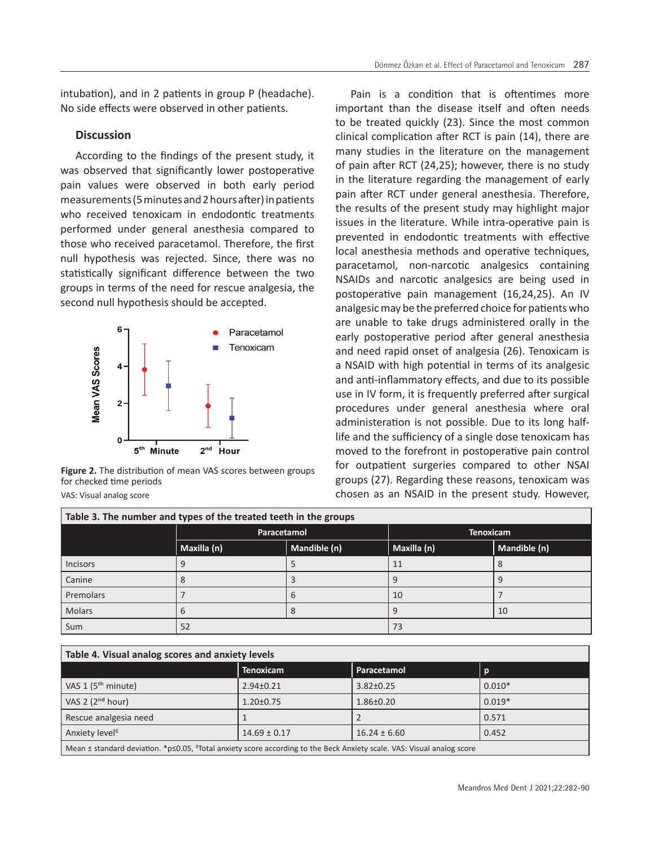intubation), and in 2 patients in group P (headache). No side effects were observed in other patients.

## **Discussion**

According to the findings of the present study, it was observed that significantly lower postoperative pain values were observed in both early period measurements (5 minutes and 2 hours after) in patients who received tenoxicam in endodontic treatments performed under general anesthesia compared to those who received paracetamol. Therefore, the first null hypothesis was rejected. Since, there was no statistically significant difference between the two groups in terms of the need for rescue analgesia, the second null hypothesis should be accepted.



**Figure 2.** The distribution of mean VAS scores between groups for checked time periods

VAS: Visual analog score

Pain is a condition that is oftentimes more important than the disease itself and often needs to be treated quickly (23). Since the most common clinical complication after RCT is pain (14), there are many studies in the literature on the management of pain after RCT (24,25); however, there is no study in the literature regarding the management of early pain after RCT under general anesthesia. Therefore, the results of the present study may highlight major issues in the literature. While intra-operative pain is prevented in endodontic treatments with effective local anesthesia methods and operative techniques, paracetamol, non-narcotic analgesics containing NSAIDs and narcotic analgesics are being used in postoperative pain management (16,24,25). An IV analgesic may be the preferred choice for patients who are unable to take drugs administered orally in the early postoperative period after general anesthesia and need rapid onset of analgesia (26). Tenoxicam is a NSAID with high potential in terms of its analgesic and anti-inflammatory effects, and due to its possible use in IV form, it is frequently preferred after surgical procedures under general anesthesia where oral administeration is not possible. Due to its long halflife and the sufficiency of a single dose tenoxicam has moved to the forefront in postoperative pain control for outpatient surgeries compared to other NSAI groups (27). Regarding these reasons, tenoxicam was chosen as an NSAID in the present study. However,

| Table 3. The number and types of the treated teeth in the groups |             |              |                  |              |  |  |
|------------------------------------------------------------------|-------------|--------------|------------------|--------------|--|--|
|                                                                  | Paracetamol |              | <b>Tenoxicam</b> |              |  |  |
|                                                                  | Maxilla (n) | Mandible (n) | Maxilla (n)      | Mandible (n) |  |  |
| Incisors                                                         |             |              | 11               |              |  |  |
| Canine                                                           |             |              |                  |              |  |  |
| Premolars                                                        |             |              | 10               |              |  |  |
| Molars                                                           |             |              |                  | 10           |  |  |
| Sum                                                              | 52          |              | 73               |              |  |  |

| Table 4. Visual analog scores and anxiety levels                                                                                       |                  |                  |          |  |  |  |
|----------------------------------------------------------------------------------------------------------------------------------------|------------------|------------------|----------|--|--|--|
|                                                                                                                                        | <b>Tenoxicam</b> | Paracetamol      | p        |  |  |  |
| $\sqrt{84}$ VAS 1 (5 <sup>th</sup> minute)                                                                                             | $2.94 \pm 0.21$  | $3.82 \pm 0.25$  | $0.010*$ |  |  |  |
| $\sqrt{VAS}$ 2 (2 <sup>nd</sup> hour)                                                                                                  | $1.20 \pm 0.75$  | $1.86 \pm 0.20$  | $0.019*$ |  |  |  |
| Rescue analgesia need                                                                                                                  |                  |                  | 0.571    |  |  |  |
| Anxiety level <sup>ß</sup>                                                                                                             | $14.69 \pm 0.17$ | $16.24 \pm 6.60$ | 0.452    |  |  |  |
| Mean $\pm$ standard deviation. *p<0.05, <sup>8</sup> Total anxiety score according to the Beck Anxiety scale. VAS: Visual analog score |                  |                  |          |  |  |  |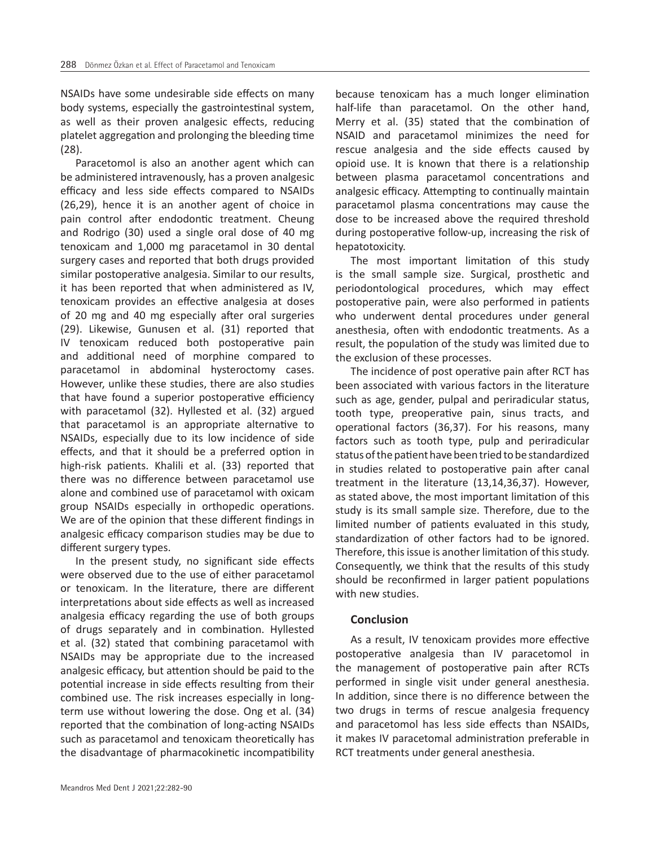NSAIDs have some undesirable side effects on many body systems, especially the gastrointestinal system, as well as their proven analgesic effects, reducing platelet aggregation and prolonging the bleeding time (28).

Paracetomol is also an another agent which can be administered intravenously, has a proven analgesic efficacy and less side effects compared to NSAIDs (26,29), hence it is an another agent of choice in pain control after endodontic treatment. Cheung and Rodrigo (30) used a single oral dose of 40 mg tenoxicam and 1,000 mg paracetamol in 30 dental surgery cases and reported that both drugs provided similar postoperative analgesia. Similar to our results, it has been reported that when administered as IV, tenoxicam provides an effective analgesia at doses of 20 mg and 40 mg especially after oral surgeries (29). Likewise, Gunusen et al. (31) reported that IV tenoxicam reduced both postoperative pain and additional need of morphine compared to paracetamol in abdominal hysteroctomy cases. However, unlike these studies, there are also studies that have found a superior postoperative efficiency with paracetamol (32). Hyllested et al. (32) argued that paracetamol is an appropriate alternative to NSAIDs, especially due to its low incidence of side effects, and that it should be a preferred option in high-risk patients. Khalili et al. (33) reported that there was no difference between paracetamol use alone and combined use of paracetamol with oxicam group NSAIDs especially in orthopedic operations. We are of the opinion that these different findings in analgesic efficacy comparison studies may be due to different surgery types.

In the present study, no significant side effects were observed due to the use of either paracetamol or tenoxicam. In the literature, there are different interpretations about side effects as well as increased analgesia efficacy regarding the use of both groups of drugs separately and in combination. Hyllested et al. (32) stated that combining paracetamol with NSAIDs may be appropriate due to the increased analgesic efficacy, but attention should be paid to the potential increase in side effects resulting from their combined use. The risk increases especially in longterm use without lowering the dose. Ong et al. (34) reported that the combination of long-acting NSAIDs such as paracetamol and tenoxicam theoretically has the disadvantage of pharmacokinetic incompatibility because tenoxicam has a much longer elimination half-life than paracetamol. On the other hand, Merry et al. (35) stated that the combination of NSAID and paracetamol minimizes the need for rescue analgesia and the side effects caused by opioid use. It is known that there is a relationship between plasma paracetamol concentrations and analgesic efficacy. Attempting to continually maintain paracetamol plasma concentrations may cause the dose to be increased above the required threshold during postoperative follow-up, increasing the risk of hepatotoxicity.

The most important limitation of this study is the small sample size. Surgical, prosthetic and periodontological procedures, which may effect postoperative pain, were also performed in patients who underwent dental procedures under general anesthesia, often with endodontic treatments. As a result, the population of the study was limited due to the exclusion of these processes.

The incidence of post operative pain after RCT has been associated with various factors in the literature such as age, gender, pulpal and periradicular status, tooth type, preoperative pain, sinus tracts, and operational factors (36,37). For his reasons, many factors such as tooth type, pulp and periradicular status of the patient have been tried to be standardized in studies related to postoperative pain after canal treatment in the literature (13,14,36,37). However, as stated above, the most important limitation of this study is its small sample size. Therefore, due to the limited number of patients evaluated in this study, standardization of other factors had to be ignored. Therefore, this issue is another limitation of this study. Consequently, we think that the results of this study should be reconfirmed in larger patient populations with new studies.

## **Conclusion**

As a result, IV tenoxicam provides more effective postoperative analgesia than IV paracetomol in the management of postoperative pain after RCTs performed in single visit under general anesthesia. In addition, since there is no difference between the two drugs in terms of rescue analgesia frequency and paracetomol has less side effects than NSAIDs, it makes IV paracetomal administration preferable in RCT treatments under general anesthesia.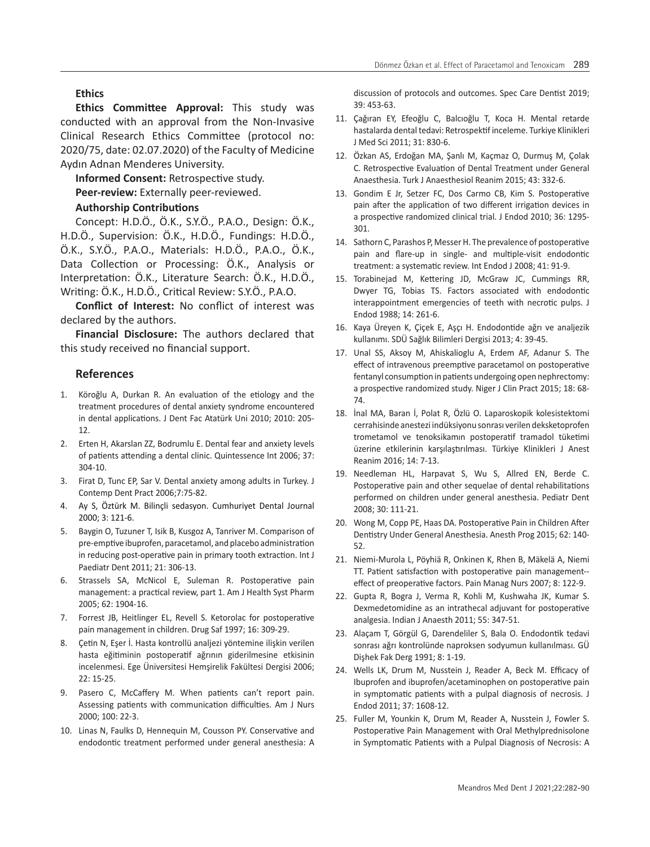## **Ethics**

**Ethics Committee Approval:** This study was conducted with an approval from the Non-Invasive Clinical Research Ethics Committee (protocol no: 2020/75, date: 02.07.2020) of the Faculty of Medicine Aydın Adnan Menderes University.

**Informed Consent:** Retrospective study. Peer-review: Externally peer-reviewed.

#### **Authorship Contributions**

Concept: H.D.Ö., Ö.K., S.Y.Ö., P.A.O., Design: Ö.K., H.D.Ö., Supervision: Ö.K., H.D.Ö., Fundings: H.D.Ö., Ö.K., S.Y.Ö., P.A.O., Materials: H.D.Ö., P.A.O., Ö.K., Data Collection or Processing: Ö.K., Analysis or Interpretation: Ö.K., Literature Search: Ö.K., H.D.Ö., Writing: Ö.K., H.D.Ö., Critical Review: S.Y.Ö., P.A.O.

**Conflict of Interest:** No conflict of interest was declared by the authors.

**Financial Disclosure:** The authors declared that this study received no financial support.

## **References**

- 1. Köroğlu A, Durkan R. An evaluation of the etiology and the treatment procedures of dental anxiety syndrome encountered in dental applications. J Dent Fac Atatürk Uni 2010; 2010: 205- 12.
- 2. Erten H, Akarslan ZZ, Bodrumlu E. Dental fear and anxiety levels of patients attending a dental clinic. Quintessence Int 2006; 37: 304-10.
- 3. Firat D, Tunc EP, Sar V. Dental anxiety among adults in Turkey. J Contemp Dent Pract 2006;7:75-82.
- 4. Ay S, Öztürk M. Bilinçli sedasyon. Cumhuriyet Dental Journal 2000; 3: 121-6.
- 5. Baygin O, Tuzuner T, Isik B, Kusgoz A, Tanriver M. Comparison of pre-emptive ibuprofen, paracetamol, and placebo administration in reducing post-operative pain in primary tooth extraction. Int J Paediatr Dent 2011; 21: 306-13.
- 6. Strassels SA, McNicol E, Suleman R. Postoperative pain management: a practical review, part 1. Am J Health Syst Pharm 2005; 62: 1904-16.
- 7. Forrest JB, Heitlinger EL, Revell S. Ketorolac for postoperative pain management in children. Drug Saf 1997; 16: 309-29.
- 8. Çetin N, Eşer İ. Hasta kontrollü analjezi yöntemine ilişkin verilen hasta eğitiminin postoperatif ağrının giderilmesine etkisinin incelenmesi. Ege Üniversitesi Hemşirelik Fakültesi Dergisi 2006; 22: 15-25.
- 9. Pasero C, McCaffery M. When patients can't report pain. Assessing patients with communication difficulties. Am J Nurs 2000; 100: 22-3.
- 10. Linas N, Faulks D, Hennequin M, Cousson PY. Conservative and endodontic treatment performed under general anesthesia: A

discussion of protocols and outcomes. Spec Care Dentist 2019; 39: 453-63.

- 11. Çağıran EY, Efeoğlu C, Balcıoğlu T, Koca H. Mental retarde hastalarda dental tedavi: Retrospektif inceleme. Turkiye Klinikleri J Med Sci 2011; 31: 830-6.
- 12. Özkan AS, Erdoğan MA, Şanlı M, Kaçmaz O, Durmuş M, Çolak C. Retrospective Evaluation of Dental Treatment under General Anaesthesia. Turk J Anaesthesiol Reanim 2015; 43: 332-6.
- 13. Gondim E Jr, Setzer FC, Dos Carmo CB, Kim S. Postoperative pain after the application of two different irrigation devices in a prospective randomized clinical trial. J Endod 2010; 36: 1295- 301.
- 14. Sathorn C, Parashos P, Messer H. The prevalence of postoperative pain and flare-up in single- and multiple-visit endodontic treatment: a systematic review. Int Endod J 2008; 41: 91-9.
- 15. Torabinejad M, Kettering JD, McGraw JC, Cummings RR, Dwyer TG, Tobias TS. Factors associated with endodontic interappointment emergencies of teeth with necrotic pulps. J Endod 1988; 14: 261-6.
- 16. Kaya Üreyen K, Çiçek E, Aşçı H. Endodontide ağrı ve analjezik kullanımı. SDÜ Sağlık Bilimleri Dergisi 2013; 4: 39-45.
- 17. Unal SS, Aksoy M, Ahiskalioglu A, Erdem AF, Adanur S. The effect of intravenous preemptive paracetamol on postoperative fentanyl consumption in patients undergoing open nephrectomy: a prospective randomized study. Niger J Clin Pract 2015; 18: 68- 74.
- 18. İnal MA, Baran İ, Polat R, Özlü O. Laparoskopik kolesistektomi cerrahisinde anestezi indüksiyonu sonrası verilen deksketoprofen trometamol ve tenoksikamın postoperatif tramadol tüketimi üzerine etkilerinin karşılaştırılması. Türkiye Klinikleri J Anest Reanim 2016; 14: 7-13.
- 19. Needleman HL, Harpavat S, Wu S, Allred EN, Berde C. Postoperative pain and other sequelae of dental rehabilitations performed on children under general anesthesia. Pediatr Dent 2008; 30: 111-21.
- 20. Wong M, Copp PE, Haas DA. Postoperative Pain in Children After Dentistry Under General Anesthesia. Anesth Prog 2015; 62: 140- 52.
- 21. Niemi-Murola L, Pöyhiä R, Onkinen K, Rhen B, Mäkelä A, Niemi TT. Patient satisfaction with postoperative pain management- effect of preoperative factors. Pain Manag Nurs 2007; 8: 122-9.
- 22. Gupta R, Bogra J, Verma R, Kohli M, Kushwaha JK, Kumar S. Dexmedetomidine as an intrathecal adjuvant for postoperative analgesia. Indian J Anaesth 2011; 55: 347-51.
- 23. Alaçam T, Görgül G, Darendeliler S, Bala O. Endodontik tedavi ̇ sonrası ağrı kontrolünde naproksen sodyumun kullanılması. GÜ Dişhek Fak Derg 1991; 8: 1-19.
- 24. Wells LK, Drum M, Nusstein J, Reader A, Beck M. Efficacy of Ibuprofen and ibuprofen/acetaminophen on postoperative pain in symptomatic patients with a pulpal diagnosis of necrosis. J Endod 2011; 37: 1608-12.
- 25. Fuller M, Younkin K, Drum M, Reader A, Nusstein J, Fowler S. Postoperative Pain Management with Oral Methylprednisolone in Symptomatic Patients with a Pulpal Diagnosis of Necrosis: A